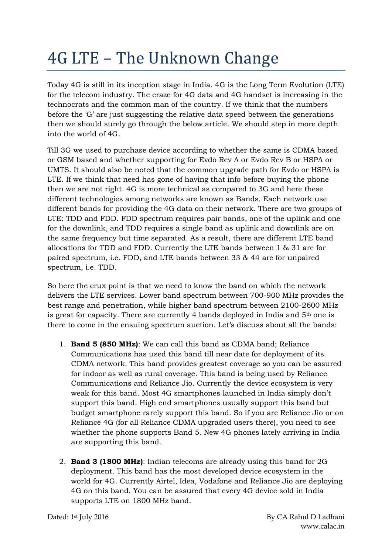## 4G LTE – The Unknown Change

Today 4G is still in its inception stage in India. 4G is the Long Term Evolution (LTE) for the telecom industry. The craze for 4G data and 4G handset is increasing in the technocrats and the common man of the country. If we think that the numbers before the 'G' are just suggesting the relative data speed between the generations then we should surely go through the below article. We should step in more depth into the world of 4G.

Till 3G we used to purchase device according to whether the same is CDMA based or GSM based and whether supporting for Evdo Rev A or Evdo Rev B or HSPA or UMTS. It should also be noted that the common upgrade path for Evdo or HSPA is LTE. If we think that need has gone of having that info before buying the phone then we are not right. 4G is more technical as compared to 3G and here these different technologies among networks are known as Bands. Each network use different bands for providing the 4G data on their network. There are two groups of LTE: TDD and FDD. FDD spectrum requires pair bands, one of the uplink and one for the downlink, and TDD requires a single band as uplink and downlink are on the same frequency but time separated. As a result, there are different LTE band allocations for TDD and FDD. Currently the LTE bands between 1 & 31 are for paired spectrum, i.e. FDD, and LTE bands between 33 & 44 are for unpaired spectrum, i.e. TDD.

So here the crux point is that we need to know the band on which the network delivers the LTE services. Lower band spectrum between 700-900 MHz provides the best range and penetration, while higher band spectrum between 2100-2600 MHz is great for capacity. There are currently 4 bands deployed in India and  $5<sup>th</sup>$  one is there to come in the ensuing spectrum auction. Let's discuss about all the bands:

- 1. **Band 5 (850 MHz)**: We can call this band as CDMA band; Reliance Communications has used this band till near date for deployment of its CDMA network. This band provides greatest coverage so you can be assured for indoor as well as rural coverage. This band is being used by Reliance Communications and Reliance Jio. Currently the device ecosystem is very weak for this band. Most 4G smartphones launched in India simply don't support this band. High end smartphones usually support this band but budget smartphone rarely support this band. So if you are Reliance Jio or on Reliance 4G (for all Reliance CDMA upgraded users there), you need to see whether the phone supports Band 5. New 4G phones lately arriving in India are supporting this band.
- 2. **Band 3 (1800 MHz)**: Indian telecoms are already using this band for 2G deployment. This band has the most developed device ecosystem in the world for 4G. Currently Airtel, Idea, Vodafone and Reliance Jio are deploying 4G on this band. You can be assured that every 4G device sold in India supports LTE on 1800 MHz band.